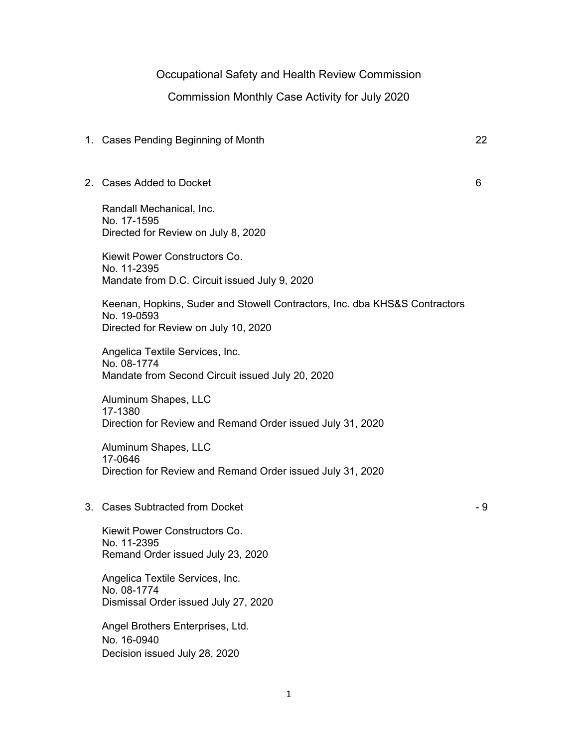## Occupational Safety and Health Review Commission

## Commission Monthly Case Activity for July 2020

## 1. Cases Pending Beginning of Month 22

## 2. Cases Added to Docket 6

Randall Mechanical, Inc. No. 17-1595 Directed for Review on July 8, 2020

Kiewit Power Constructors Co. No. 11-2395 Mandate from D.C. Circuit issued July 9, 2020

Keenan, Hopkins, Suder and Stowell Contractors, Inc. dba KHS&S Contractors No. 19-0593 Directed for Review on July 10, 2020

Angelica Textile Services, Inc. No. 08-1774 Mandate from Second Circuit issued July 20, 2020

Aluminum Shapes, LLC 17-1380 Direction for Review and Remand Order issued July 31, 2020

Aluminum Shapes, LLC 17-0646 Direction for Review and Remand Order issued July 31, 2020

3. Cases Subtracted from Docket - 9

Kiewit Power Constructors Co. No. 11-2395 Remand Order issued July 23, 2020

Angelica Textile Services, Inc. No. 08-1774 Dismissal Order issued July 27, 2020

Angel Brothers Enterprises, Ltd. No. 16-0940 Decision issued July 28, 2020